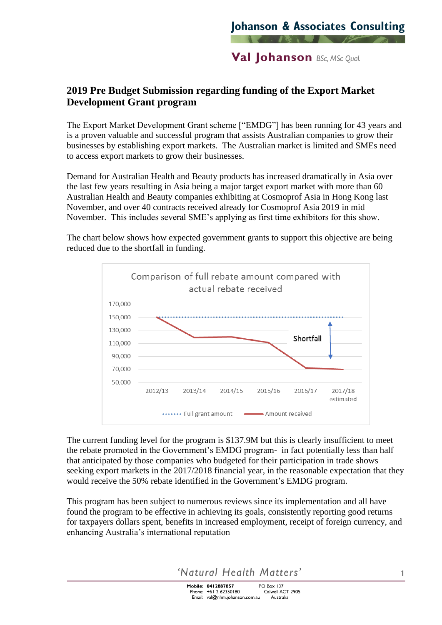## **Val Johanson** BSc, MSc Qual.

## **2019 Pre Budget Submission regarding funding of the Export Market Development Grant program**

The Export Market Development Grant scheme ["EMDG"] has been running for 43 years and is a proven valuable and successful program that assists Australian companies to grow their businesses by establishing export markets. The Australian market is limited and SMEs need to access export markets to grow their businesses.

Demand for Australian Health and Beauty products has increased dramatically in Asia over the last few years resulting in Asia being a major target export market with more than 60 Australian Health and Beauty companies exhibiting at Cosmoprof Asia in Hong Kong last November, and over 40 contracts received already for Cosmoprof Asia 2019 in mid November. This includes several SME's applying as first time exhibitors for this show.

The chart below shows how expected government grants to support this objective are being reduced due to the shortfall in funding.



The current funding level for the program is \$137.9M but this is clearly insufficient to meet the rebate promoted in the Government's EMDG program- in fact potentially less than half that anticipated by those companies who budgeted for their participation in trade shows seeking export markets in the 2017/2018 financial year, in the reasonable expectation that they would receive the 50% rebate identified in the Government's EMDG program.

This program has been subject to numerous reviews since its implementation and all have found the program to be effective in achieving its goals, consistently reporting good returns for taxpayers dollars spent, benefits in increased employment, receipt of foreign currency, and enhancing Australia's international reputation

'Natural Health Matters'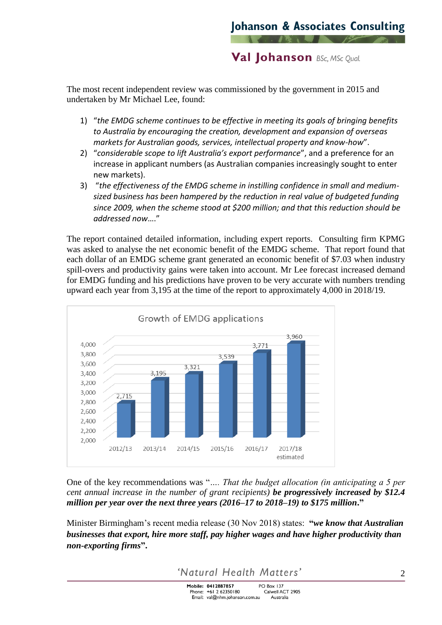**Val Johanson** BSc, MSc Qual.

The most recent independent review was commissioned by the government in 2015 and undertaken by Mr Michael Lee, found:

- 1) "*the EMDG scheme continues to be effective in meeting its goals of bringing benefits to Australia by encouraging the creation, development and expansion of overseas markets for Australian goods, services, intellectual property and know-how*".
- 2) "*considerable scope to lift Australia's export performance*", and a preference for an increase in applicant numbers (as Australian companies increasingly sought to enter new markets).
- 3) "*the effectiveness of the EMDG scheme in instilling confidence in small and mediumsized business has been hampered by the reduction in real value of budgeted funding since 2009, when the scheme stood at \$200 million; and that this reduction should be addressed now*…."

The report contained detailed information, including expert reports. Consulting firm KPMG was asked to analyse the net economic benefit of the EMDG scheme. That report found that each dollar of an EMDG scheme grant generated an economic benefit of \$7.03 when industry spill-overs and productivity gains were taken into account. Mr Lee forecast increased demand for EMDG funding and his predictions have proven to be very accurate with numbers trending upward each year from 3,195 at the time of the report to approximately 4,000 in 2018/19.



One of the key recommendations was "*…. That the budget allocation (in anticipating a 5 per cent annual increase in the number of grant recipients) be progressively increased by \$12.4 million per year over the next three years (2016–17 to 2018–19) to \$175 million***."**

Minister Birmingham's recent media release (30 Nov 2018) states: **"***we know that Australian businesses that export, hire more staff, pay higher wages and have higher productivity than non-exporting firms***".** 

'Natural Health Matters'